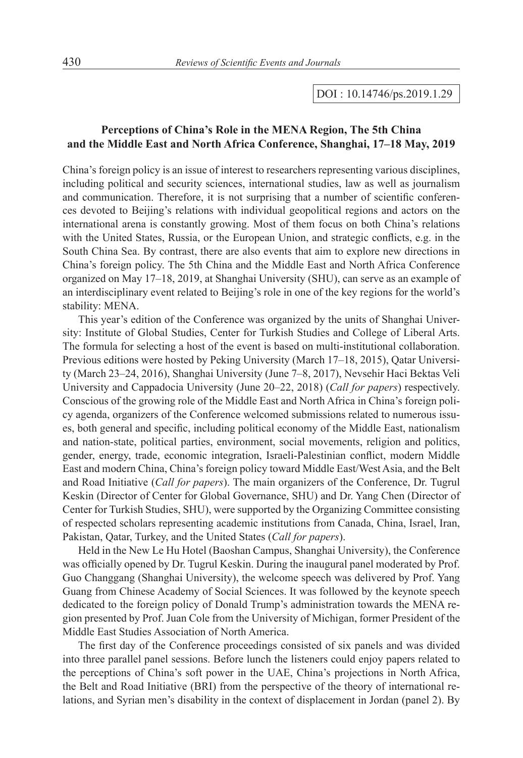## DOI : 10.14746/ps.2019.1.29

## **Perceptions of China's Role in the MENA Region, The 5th China and the Middle East and North Africa Conference, Shanghai, 17–18 May, 2019**

China's foreign policy is an issue of interest to researchers representing various disciplines, including political and security sciences, international studies, law as well as journalism and communication. Therefore, it is not surprising that a number of scientific conferences devoted to Beijing's relations with individual geopolitical regions and actors on the international arena is constantly growing. Most of them focus on both China's relations with the United States, Russia, or the European Union, and strategic conflicts, e.g. in the South China Sea. By contrast, there are also events that aim to explore new directions in China's foreign policy. The 5th China and the Middle East and North Africa Conference organized on May 17–18, 2019, at Shanghai University (SHU), can serve as an example of an interdisciplinary event related to Beijing's role in one of the key regions for the world's stability: MENA.

This year's edition of the Conference was organized by the units of Shanghai University: Institute of Global Studies, Center for Turkish Studies and College of Liberal Arts. The formula for selecting a host of the event is based on multi-institutional collaboration. Previous editions were hosted by Peking University (March 17–18, 2015), Qatar University (March 23–24, 2016), Shanghai University (June 7–8, 2017), Nevsehir Haci Bektas Veli University and Cappadocia University (June 20–22, 2018) (*Call for papers*) respectively. Conscious of the growing role of the Middle East and North Africa in China's foreign policy agenda, organizers of the Conference welcomed submissions related to numerous issues, both general and specific, including political economy of the Middle East, nationalism and nation-state, political parties, environment, social movements, religion and politics, gender, energy, trade, economic integration, Israeli-Palestinian conflict, modern Middle East and modern China, China's foreign policy toward Middle East/West Asia, and the Belt and Road Initiative (*Call for papers*). The main organizers of the Conference, Dr. Tugrul Keskin (Director of Center for Global Governance, SHU) and Dr. Yang Chen (Director of Center for Turkish Studies, SHU), were supported by the Organizing Committee consisting of respected scholars representing academic institutions from Canada, China, Israel, Iran, Pakistan, Qatar, Turkey, and the United States (*Call for papers*).

Held in the New Le Hu Hotel (Baoshan Campus, Shanghai University), the Conference was officially opened by Dr. Tugrul Keskin. During the inaugural panel moderated by Prof. Guo Changgang (Shanghai University), the welcome speech was delivered by Prof. Yang Guang from Chinese Academy of Social Sciences. It was followed by the keynote speech dedicated to the foreign policy of Donald Trump's administration towards the MENA region presented by Prof. Juan Cole from the University of Michigan, former President of the Middle East Studies Association of North America.

The first day of the Conference proceedings consisted of six panels and was divided into three parallel panel sessions. Before lunch the listeners could enjoy papers related to the perceptions of China's soft power in the UAE, China's projections in North Africa, the Belt and Road Initiative (BRI) from the perspective of the theory of international relations, and Syrian men's disability in the context of displacement in Jordan (panel 2). By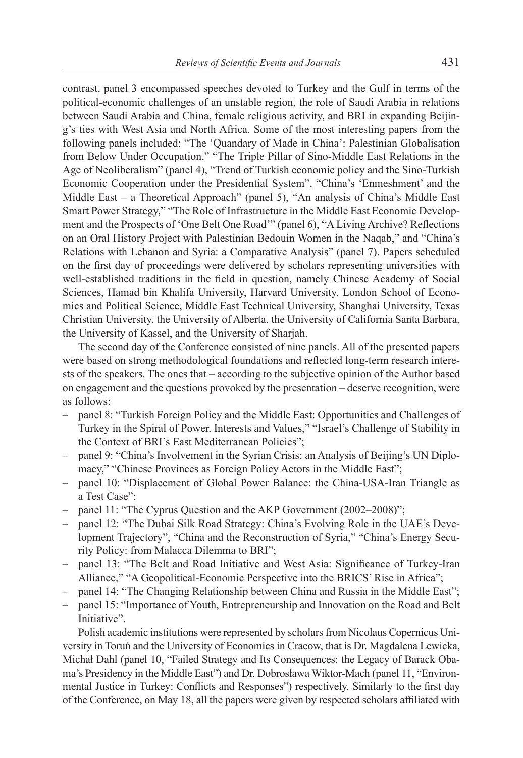contrast, panel 3 encompassed speeches devoted to Turkey and the Gulf in terms of the political-economic challenges of an unstable region, the role of Saudi Arabia in relations between Saudi Arabia and China, female religious activity, and BRI in expanding Beijing's ties with West Asia and North Africa. Some of the most interesting papers from the following panels included: "The 'Quandary of Made in China': Palestinian Globalisation from Below Under Occupation," "The Triple Pillar of Sino-Middle East Relations in the Age of Neoliberalism" (panel 4), "Trend of Turkish economic policy and the Sino-Turkish Economic Cooperation under the Presidential System", "China's 'Enmeshment' and the Middle East – a Theoretical Approach" (panel 5), "An analysis of China's Middle East Smart Power Strategy," "The Role of Infrastructure in the Middle East Economic Development and the Prospects of 'One Belt One Road'" (panel 6), "A Living Archive? Reflections on an Oral History Project with Palestinian Bedouin Women in the Naqab," and "China's Relations with Lebanon and Syria: a Comparative Analysis" (panel 7). Papers scheduled on the first day of proceedings were delivered by scholars representing universities with well-established traditions in the field in question, namely Chinese Academy of Social Sciences, Hamad bin Khalifa University, Harvard University, London School of Economics and Political Science, Middle East Technical University, Shanghai University, Texas Christian University, the University of Alberta, the University of California Santa Barbara, the University of Kassel, and the University of Sharjah.

The second day of the Conference consisted of nine panels. All of the presented papers were based on strong methodological foundations and reflected long-term research interests of the speakers. The ones that – according to the subjective opinion of the Author based on engagement and the questions provoked by the presentation – deserve recognition, were as follows:

- panel 8: "Turkish Foreign Policy and the Middle East: Opportunities and Challenges of Turkey in the Spiral of Power. Interests and Values," "Israel's Challenge of Stability in the Context of BRI's East Mediterranean Policies";
- panel 9: "China's Involvement in the Syrian Crisis: an Analysis of Beijing's UN Diplomacy," "Chinese Provinces as Foreign Policy Actors in the Middle East";
- panel 10: "Displacement of Global Power Balance: the China-USA-Iran Triangle as a Test Case";
- panel 11: "The Cyprus Question and the AKP Government (2002–2008)";
- panel 12: "The Dubai Silk Road Strategy: China's Evolving Role in the UAE's Development Trajectory", "China and the Reconstruction of Syria," "China's Energy Security Policy: from Malacca Dilemma to BRI";
- panel 13: "The Belt and Road Initiative and West Asia: Significance of Turkey-Iran Alliance," "A Geopolitical-Economic Perspective into the BRICS' Rise in Africa";
- panel 14: "The Changing Relationship between China and Russia in the Middle East";
- panel 15: "Importance of Youth, Entrepreneurship and Innovation on the Road and Belt Initiative".

Polish academic institutions were represented by scholars from Nicolaus Copernicus University in Toruń and the University of Economics in Cracow, that is Dr. Magdalena Lewicka, Michał Dahl (panel 10, "Failed Strategy and Its Consequences: the Legacy of Barack Obama's Presidency in the Middle East") and Dr. Dobrosława Wiktor-Mach (panel 11, "Environmental Justice in Turkey: Conflicts and Responses") respectively. Similarly to the first day of the Conference, on May 18, all the papers were given by respected scholars affiliated with